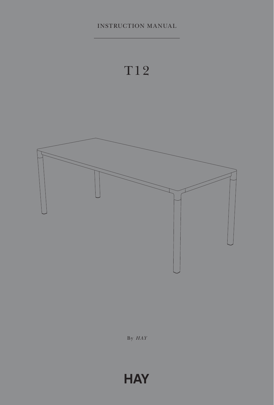INSTRUCTION MANUAL





By *HAY*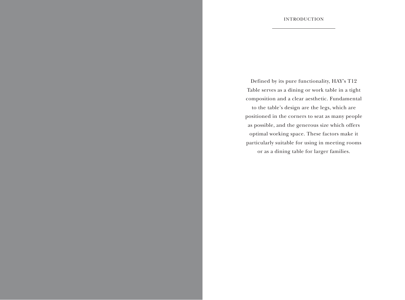Defined by its pure functionality, HAY's T12 Table serves as a dining or work table in a tight composition and a clear aesthetic. Fundamental to the table's design are the legs, which are positioned in the corners to seat as many people as possible, and the generous size which offers optimal working space. These factors make it particularly suitable for using in meeting rooms or as a dining table for larger families.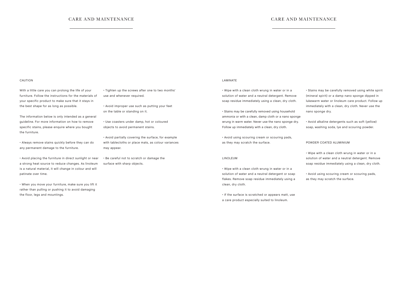## CARE AND MAINTENANCE CARE AND MAINTENANCE

#### CAUTION

With a little care you can prolong the life of your furniture. Follow the instructions for the materials of your specific product to make sure that it stays in the best shape for as long as possible.

The information below is only intended as a general guideline. For more information on how to remove specific stains, please enquire where you bought the furniture.

• Always remove stains quickly before they can do any permanent damage to the furniture.

• Avoid placing the furniture in direct sunlight or near a strong heat source to reduce changes. As linoleum is a natural material, it will change in colour and will patinate over time.

• When you move your furniture, make sure you lift it rather than pulling or pushing it to avoid damaging the floor, legs and mountings.

• Tighten up the screws after one to two months' use and whenever required.

• Avoid improper use such as putting your feet on the table or standing on it.

• Use coasters under damp, hot or coloured objects to avoid permanent stains.

• Avoid partially covering the surface, for example with tablecloths or place mats, as colour variances may appear.

• Be careful not to scratch or damage the surface with sharp objects.

#### LAMINATE

• Wipe with a clean cloth wrung in water or in a solution of water and a neutral detergent. Remove soap residue immediately using a clean, dry cloth.

• Stains may be carefully removed using household ammonia or with a clean, damp cloth or a nano sponge wrung in warm water. Never use the nano sponge dry. Follow up immediately with a clean, dry cloth.

• Avoid using scouring cream or scouring pads, as they may scratch the surface.

### LINOLEUM

• Wipe with a clean cloth wrung in water or in a solution of water and a neutral detergent or soap flakes. Remove soap residue immediately using a clean, dry cloth.

• If the surface is scratched or appears matt, use a care product especially suited to linoleum.

• Stains may be carefully removed using white spirit (mineral spirit) or a damp nano sponge dipped in lukewarm water or linoleum care product. Follow up immediately with a clean, dry cloth. Never use the nano sponge dry.

• Avoid alkaline detergents such as soft (yellow) soap, washing soda, lye and scouring powder.

#### POWDER COATED ALUMINIUM

• Wipe with a clean cloth wrung in water or in a solution of water and a neutral detergent. Remove soap residue immediately using a clean, dry cloth.

• Avoid using scouring cream or scouring pads, as they may scratch the surface.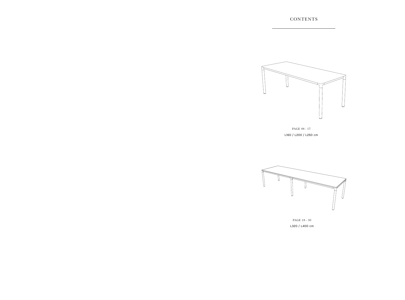

PAGE 08 - 17 L160 / L200 / L250 cm



PAGE 18 - 30 L320 / L400 cm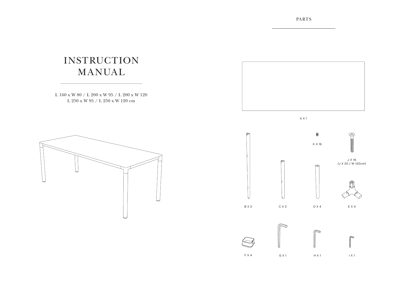PARTS

# INSTRUCTION MANUAL

L 160 x W 80 / L 200 x W 95 / L 200 x W 120 L 250 x W 95 / L 250 x W 120 cm





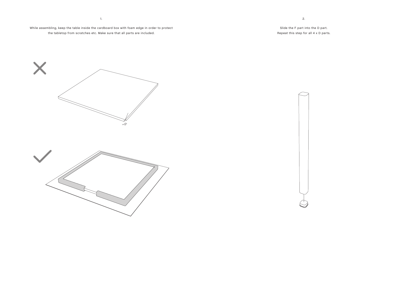While assembling, keep the table inside the cardboard box with foam edge in order to protect the tabletop from scratches etc. Make sure that all parts are included.

1.

Slide the F part into the D part. Repeat this step for all 4 x D parts.



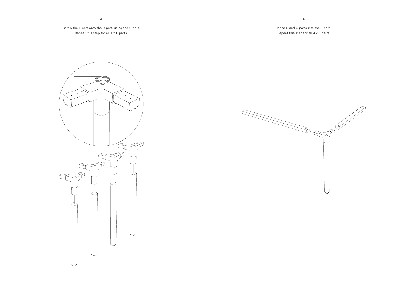2.

Screw the E part onto the D part, using the G part. Repeat this step for all 4 x E parts.

Place B and C parts into the E part. Repeat this step for all 4 x E parts.



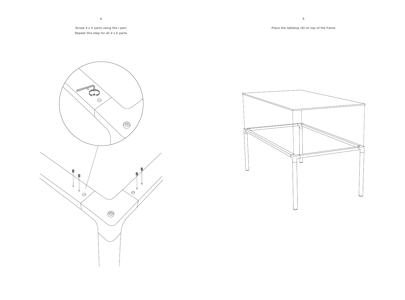Screw 4 x K parts using the I part. Repeat this step for all 4 x E parts.





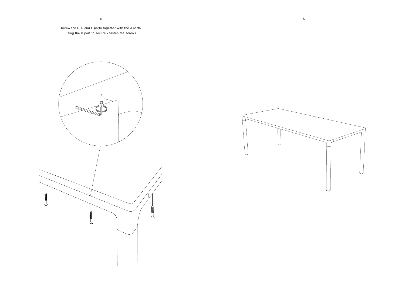Screw the C, D and E parts together with the J parts, using the H part to securely fasten the screws.



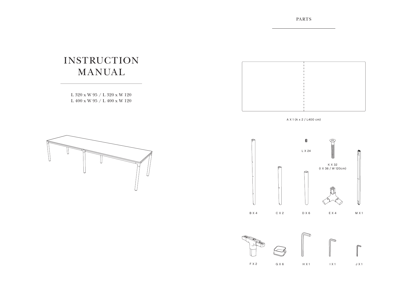PARTS

# INSTRUCTION MANUAL

L 320 x W 95 / L 320 x W 120 L 400 x W 95 / L 400 x W 120



A X 1 (A x 2 / L400 cm)





H X 1

I X 1

J X 1

G X 6

F X 2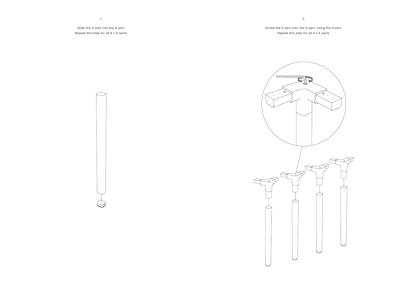Slide the G part into the D part. Repeat this step for all 6 x D parts.

1.

Screw the E part onto the D part, using the H part. Repeat this step for all 4 x E parts.

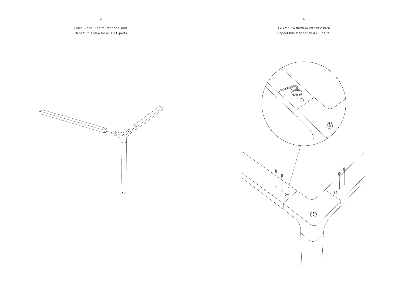Place B and C parts into the E part. Repeat this step for all 4 x E parts.

Screw 4 x L parts using the J part. Repeat this step for all 4 x E parts.

4.



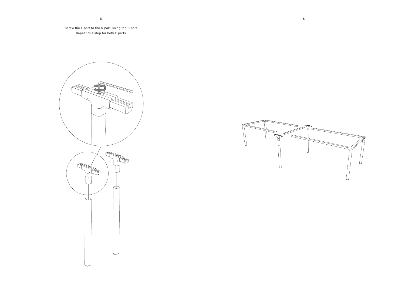Screw the F part to the D part, using the H part. Repeat this step for both F parts.



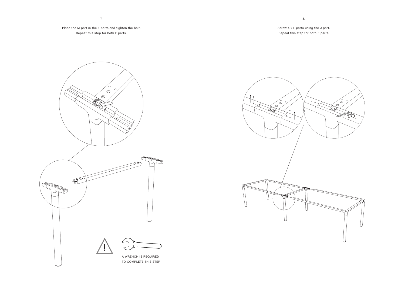7.

Place the M part in the F parts and tighten the bolt. Repeat this step for both F parts.

Screw 4 x L parts using the J part. Repeat this step for both F parts.



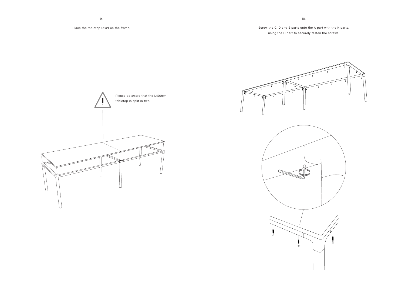# Screw the C, D and E parts onto the A part with the K parts, using the H part to securely fasten the screws.





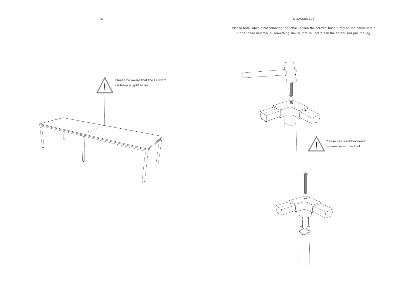### DISASSEMBLE

Please note: when disassembling the table, loosen the screws, bash firmly on the screw with a rubber head hammer or something similar that will not break the screw, and pull the leg.